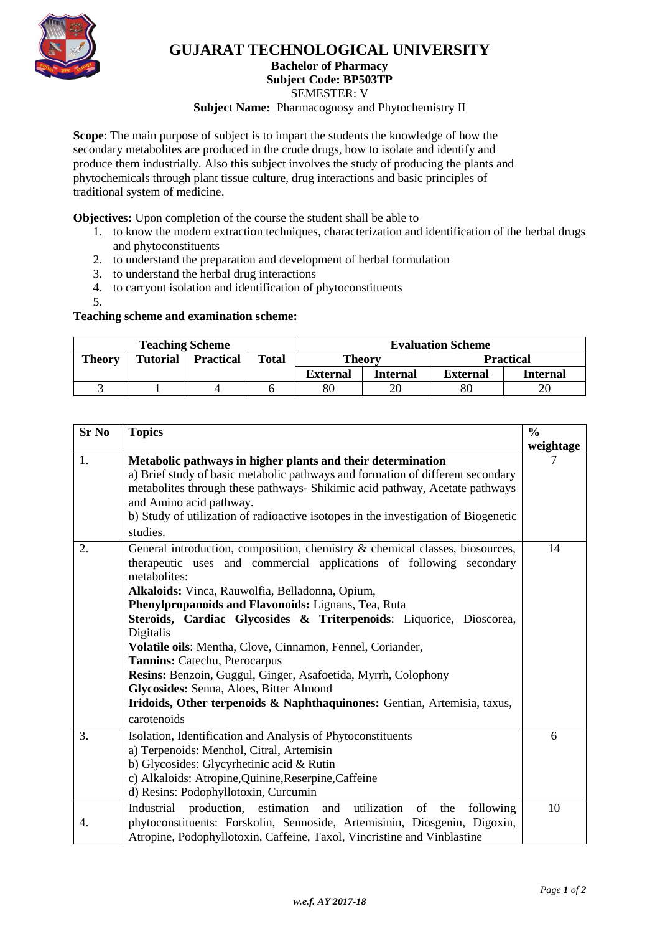

## **GUJARAT TECHNOLOGICAL UNIVERSITY**

**Bachelor of Pharmacy**

**Subject Code: BP503TP**

SEMESTER: V

**Subject Name:** Pharmacognosy and Phytochemistry II

**Scope**: The main purpose of subject is to impart the students the knowledge of how the secondary metabolites are produced in the crude drugs, how to isolate and identify and produce them industrially. Also this subject involves the study of producing the plants and phytochemicals through plant tissue culture, drug interactions and basic principles of traditional system of medicine.

**Objectives:** Upon completion of the course the student shall be able to

- 1. to know the modern extraction techniques, characterization and identification of the herbal drugs and phytoconstituents
- 2. to understand the preparation and development of herbal formulation
- 3. to understand the herbal drug interactions
- 4. to carryout isolation and identification of phytoconstituents
- 5.

**Teaching scheme and examination scheme:**

| <b>Teaching Scheme</b> |                 |                  |              | <b>Evaluation Scheme</b> |                 |                 |                  |
|------------------------|-----------------|------------------|--------------|--------------------------|-----------------|-----------------|------------------|
| <b>Theory</b>          | <b>Tutorial</b> | <b>Practical</b> | <b>Total</b> | Theory                   |                 |                 | <b>Practical</b> |
|                        |                 |                  |              | <b>External</b>          | <b>Internal</b> | <b>External</b> | Internal         |
|                        |                 |                  |              | 80                       | 20              | 80              | 20               |

| <b>Sr No</b> | <b>Topics</b>                                                                           |           |  |  |  |
|--------------|-----------------------------------------------------------------------------------------|-----------|--|--|--|
|              |                                                                                         | weightage |  |  |  |
| 1.           | Metabolic pathways in higher plants and their determination                             |           |  |  |  |
|              | a) Brief study of basic metabolic pathways and formation of different secondary         |           |  |  |  |
|              | metabolites through these pathways- Shikimic acid pathway, Acetate pathways             |           |  |  |  |
|              | and Amino acid pathway.                                                                 |           |  |  |  |
|              | b) Study of utilization of radioactive isotopes in the investigation of Biogenetic      |           |  |  |  |
|              | studies.                                                                                |           |  |  |  |
| 2.           | General introduction, composition, chemistry & chemical classes, biosources,            | 14        |  |  |  |
|              | therapeutic uses and commercial applications of following secondary                     |           |  |  |  |
|              | metabolites:                                                                            |           |  |  |  |
|              | Alkaloids: Vinca, Rauwolfia, Belladonna, Opium,                                         |           |  |  |  |
|              | Phenylpropanoids and Flavonoids: Lignans, Tea, Ruta                                     |           |  |  |  |
|              | Steroids, Cardiac Glycosides & Triterpenoids: Liquorice, Dioscorea,                     |           |  |  |  |
|              | Digitalis                                                                               |           |  |  |  |
|              | Volatile oils: Mentha, Clove, Cinnamon, Fennel, Coriander,                              |           |  |  |  |
|              | Tannins: Catechu, Pterocarpus                                                           |           |  |  |  |
|              | Resins: Benzoin, Guggul, Ginger, Asafoetida, Myrrh, Colophony                           |           |  |  |  |
|              | Glycosides: Senna, Aloes, Bitter Almond                                                 |           |  |  |  |
|              | Iridoids, Other terpenoids & Naphthaquinones: Gentian, Artemisia, taxus,                |           |  |  |  |
|              | carotenoids                                                                             |           |  |  |  |
| 3.           | Isolation, Identification and Analysis of Phytoconstituents                             | 6         |  |  |  |
|              | a) Terpenoids: Menthol, Citral, Artemisin                                               |           |  |  |  |
|              | b) Glycosides: Glycyrhetinic acid & Rutin                                               |           |  |  |  |
|              | c) Alkaloids: Atropine, Quinine, Reserpine, Caffeine                                    |           |  |  |  |
|              | d) Resins: Podophyllotoxin, Curcumin                                                    |           |  |  |  |
|              | Industrial<br>estimation<br>utilization<br>of<br>production,<br>and<br>the<br>following | 10        |  |  |  |
| 4.           | phytoconstituents: Forskolin, Sennoside, Artemisinin, Diosgenin, Digoxin,               |           |  |  |  |
|              | Atropine, Podophyllotoxin, Caffeine, Taxol, Vincristine and Vinblastine                 |           |  |  |  |